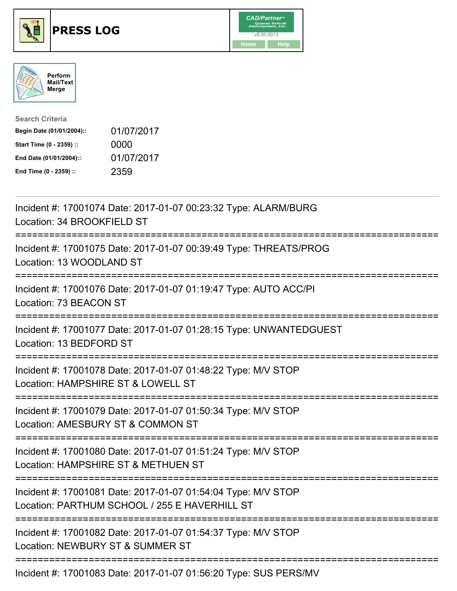





| <b>Search Criteria</b>    |            |
|---------------------------|------------|
| Begin Date (01/01/2004):: | 01/07/2017 |
| Start Time (0 - 2359) ::  | 0000       |
| End Date (01/01/2004)::   | 01/07/2017 |
| End Time (0 - 2359) ::    | 2359       |

| Incident #: 17001074 Date: 2017-01-07 00:23:32 Type: ALARM/BURG<br>Location: 34 BROOKFIELD ST                  |
|----------------------------------------------------------------------------------------------------------------|
| Incident #: 17001075 Date: 2017-01-07 00:39:49 Type: THREATS/PROG<br>Location: 13 WOODLAND ST                  |
| Incident #: 17001076 Date: 2017-01-07 01:19:47 Type: AUTO ACC/PI<br>Location: 73 BEACON ST                     |
| Incident #: 17001077 Date: 2017-01-07 01:28:15 Type: UNWANTEDGUEST<br>Location: 13 BEDFORD ST                  |
| Incident #: 17001078 Date: 2017-01-07 01:48:22 Type: M/V STOP<br>Location: HAMPSHIRE ST & LOWELL ST            |
| Incident #: 17001079 Date: 2017-01-07 01:50:34 Type: M/V STOP<br>Location: AMESBURY ST & COMMON ST             |
| Incident #: 17001080 Date: 2017-01-07 01:51:24 Type: M/V STOP<br>Location: HAMPSHIRE ST & METHUEN ST           |
| Incident #: 17001081 Date: 2017-01-07 01:54:04 Type: M/V STOP<br>Location: PARTHUM SCHOOL / 255 E HAVERHILL ST |
| Incident #: 17001082 Date: 2017-01-07 01:54:37 Type: M/V STOP<br>Location: NEWBURY ST & SUMMER ST              |

Incident #: 17001083 Date: 2017-01-07 01:56:20 Type: SUS PERS/MV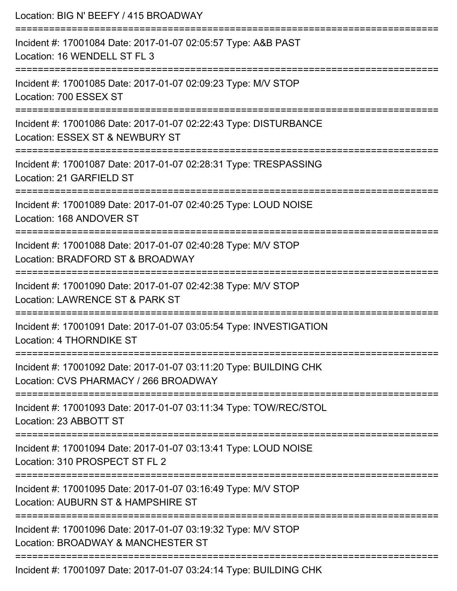| Location: BIG N' BEEFY / 415 BROADWAY                                                                      |
|------------------------------------------------------------------------------------------------------------|
| Incident #: 17001084 Date: 2017-01-07 02:05:57 Type: A&B PAST<br>Location: 16 WENDELL ST FL 3              |
| Incident #: 17001085 Date: 2017-01-07 02:09:23 Type: M/V STOP<br>Location: 700 ESSEX ST                    |
| Incident #: 17001086 Date: 2017-01-07 02:22:43 Type: DISTURBANCE<br>Location: ESSEX ST & NEWBURY ST        |
| Incident #: 17001087 Date: 2017-01-07 02:28:31 Type: TRESPASSING<br>Location: 21 GARFIELD ST               |
| Incident #: 17001089 Date: 2017-01-07 02:40:25 Type: LOUD NOISE<br>Location: 168 ANDOVER ST                |
| Incident #: 17001088 Date: 2017-01-07 02:40:28 Type: M/V STOP<br>Location: BRADFORD ST & BROADWAY          |
| Incident #: 17001090 Date: 2017-01-07 02:42:38 Type: M/V STOP<br>Location: LAWRENCE ST & PARK ST           |
| Incident #: 17001091 Date: 2017-01-07 03:05:54 Type: INVESTIGATION<br><b>Location: 4 THORNDIKE ST</b>      |
| Incident #: 17001092 Date: 2017-01-07 03:11:20 Type: BUILDING CHK<br>Location: CVS PHARMACY / 266 BROADWAY |
| Incident #: 17001093 Date: 2017-01-07 03:11:34 Type: TOW/REC/STOL<br>Location: 23 ABBOTT ST                |
| Incident #: 17001094 Date: 2017-01-07 03:13:41 Type: LOUD NOISE<br>Location: 310 PROSPECT ST FL 2          |
| Incident #: 17001095 Date: 2017-01-07 03:16:49 Type: M/V STOP<br>Location: AUBURN ST & HAMPSHIRE ST        |
| Incident #: 17001096 Date: 2017-01-07 03:19:32 Type: M/V STOP<br>Location: BROADWAY & MANCHESTER ST        |
| Incident #: 17001097 Date: 2017-01-07 03:24:14 Type: RUILDING CHK                                          |

Incident #: 17001097 Date: 2017-01-07 03:24:14 Type: BUILDING CHK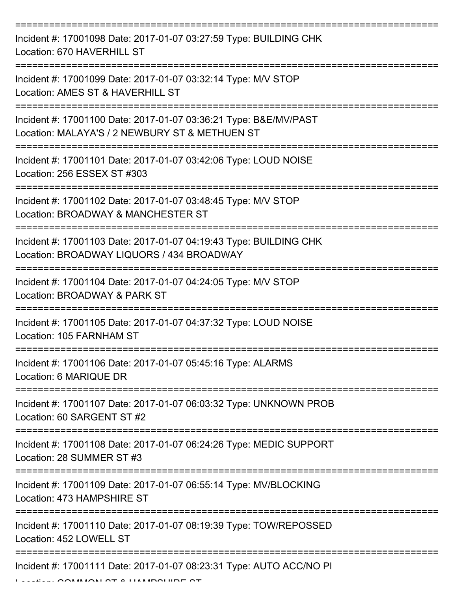| Incident #: 17001098 Date: 2017-01-07 03:27:59 Type: BUILDING CHK<br>Location: 670 HAVERHILL ST                    |
|--------------------------------------------------------------------------------------------------------------------|
| Incident #: 17001099 Date: 2017-01-07 03:32:14 Type: M/V STOP<br>Location: AMES ST & HAVERHILL ST                  |
| Incident #: 17001100 Date: 2017-01-07 03:36:21 Type: B&E/MV/PAST<br>Location: MALAYA'S / 2 NEWBURY ST & METHUEN ST |
| Incident #: 17001101 Date: 2017-01-07 03:42:06 Type: LOUD NOISE<br>Location: 256 ESSEX ST #303                     |
| Incident #: 17001102 Date: 2017-01-07 03:48:45 Type: M/V STOP<br>Location: BROADWAY & MANCHESTER ST                |
| Incident #: 17001103 Date: 2017-01-07 04:19:43 Type: BUILDING CHK<br>Location: BROADWAY LIQUORS / 434 BROADWAY     |
| Incident #: 17001104 Date: 2017-01-07 04:24:05 Type: M/V STOP<br>Location: BROADWAY & PARK ST                      |
| Incident #: 17001105 Date: 2017-01-07 04:37:32 Type: LOUD NOISE<br>Location: 105 FARNHAM ST                        |
| Incident #: 17001106 Date: 2017-01-07 05:45:16 Type: ALARMS<br>Location: 6 MARIQUE DR                              |
| Incident #: 17001107 Date: 2017-01-07 06:03:32 Type: UNKNOWN PROB<br>Location: 60 SARGENT ST #2                    |
| Incident #: 17001108 Date: 2017-01-07 06:24:26 Type: MEDIC SUPPORT<br>Location: 28 SUMMER ST #3                    |
| Incident #: 17001109 Date: 2017-01-07 06:55:14 Type: MV/BLOCKING<br>Location: 473 HAMPSHIRE ST                     |
| Incident #: 17001110 Date: 2017-01-07 08:19:39 Type: TOW/REPOSSED<br>Location: 452 LOWELL ST                       |
| Incident #: 17001111 Date: 2017-01-07 08:23:31 Type: AUTO ACC/NO PI                                                |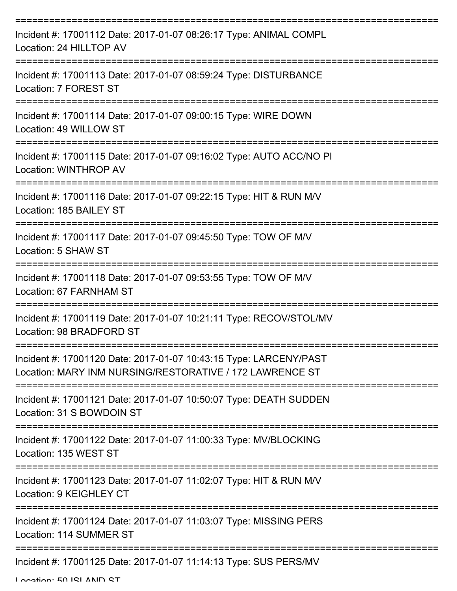| Incident #: 17001112 Date: 2017-01-07 08:26:17 Type: ANIMAL COMPL<br>Location: 24 HILLTOP AV                                  |
|-------------------------------------------------------------------------------------------------------------------------------|
| Incident #: 17001113 Date: 2017-01-07 08:59:24 Type: DISTURBANCE<br>Location: 7 FOREST ST                                     |
| Incident #: 17001114 Date: 2017-01-07 09:00:15 Type: WIRE DOWN<br>Location: 49 WILLOW ST                                      |
| Incident #: 17001115 Date: 2017-01-07 09:16:02 Type: AUTO ACC/NO PI<br>Location: WINTHROP AV                                  |
| Incident #: 17001116 Date: 2017-01-07 09:22:15 Type: HIT & RUN M/V<br>Location: 185 BAILEY ST<br>===================          |
| Incident #: 17001117 Date: 2017-01-07 09:45:50 Type: TOW OF M/V<br>Location: 5 SHAW ST                                        |
| Incident #: 17001118 Date: 2017-01-07 09:53:55 Type: TOW OF M/V<br>Location: 67 FARNHAM ST                                    |
| Incident #: 17001119 Date: 2017-01-07 10:21:11 Type: RECOV/STOL/MV<br>Location: 98 BRADFORD ST                                |
| Incident #: 17001120 Date: 2017-01-07 10:43:15 Type: LARCENY/PAST<br>Location: MARY INM NURSING/RESTORATIVE / 172 LAWRENCE ST |
| Incident #: 17001121 Date: 2017-01-07 10:50:07 Type: DEATH SUDDEN<br>Location: 31 S BOWDOIN ST                                |
| Incident #: 17001122 Date: 2017-01-07 11:00:33 Type: MV/BLOCKING<br>Location: 135 WEST ST                                     |
| Incident #: 17001123 Date: 2017-01-07 11:02:07 Type: HIT & RUN M/V<br>Location: 9 KEIGHLEY CT                                 |
| Incident #: 17001124 Date: 2017-01-07 11:03:07 Type: MISSING PERS<br>Location: 114 SUMMER ST                                  |
| Incident #: 17001125 Date: 2017-01-07 11:14:13 Type: SUS PERS/MV                                                              |

Location: EQ IQLANID QT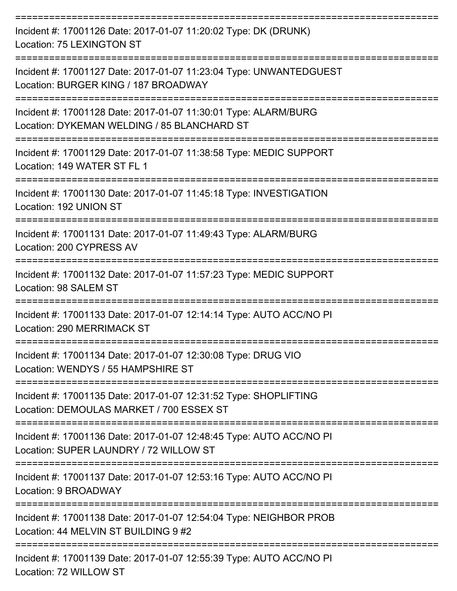| Incident #: 17001126 Date: 2017-01-07 11:20:02 Type: DK (DRUNK)<br>Location: 75 LEXINGTON ST                   |
|----------------------------------------------------------------------------------------------------------------|
| Incident #: 17001127 Date: 2017-01-07 11:23:04 Type: UNWANTEDGUEST<br>Location: BURGER KING / 187 BROADWAY     |
| Incident #: 17001128 Date: 2017-01-07 11:30:01 Type: ALARM/BURG<br>Location: DYKEMAN WELDING / 85 BLANCHARD ST |
| Incident #: 17001129 Date: 2017-01-07 11:38:58 Type: MEDIC SUPPORT<br>Location: 149 WATER ST FL 1              |
| Incident #: 17001130 Date: 2017-01-07 11:45:18 Type: INVESTIGATION<br>Location: 192 UNION ST                   |
| Incident #: 17001131 Date: 2017-01-07 11:49:43 Type: ALARM/BURG<br>Location: 200 CYPRESS AV                    |
| Incident #: 17001132 Date: 2017-01-07 11:57:23 Type: MEDIC SUPPORT<br>Location: 98 SALEM ST                    |
| Incident #: 17001133 Date: 2017-01-07 12:14:14 Type: AUTO ACC/NO PI<br>Location: 290 MERRIMACK ST              |
| Incident #: 17001134 Date: 2017-01-07 12:30:08 Type: DRUG VIO<br>Location: WENDYS / 55 HAMPSHIRE ST            |
| Incident #: 17001135 Date: 2017-01-07 12:31:52 Type: SHOPLIFTING<br>Location: DEMOULAS MARKET / 700 ESSEX ST   |
| Incident #: 17001136 Date: 2017-01-07 12:48:45 Type: AUTO ACC/NO PI<br>Location: SUPER LAUNDRY / 72 WILLOW ST  |
| Incident #: 17001137 Date: 2017-01-07 12:53:16 Type: AUTO ACC/NO PI<br>Location: 9 BROADWAY                    |
| Incident #: 17001138 Date: 2017-01-07 12:54:04 Type: NEIGHBOR PROB<br>Location: 44 MELVIN ST BUILDING 9 #2     |
| Incident #: 17001139 Date: 2017-01-07 12:55:39 Type: AUTO ACC/NO PI<br>Location: 72 WILLOW ST                  |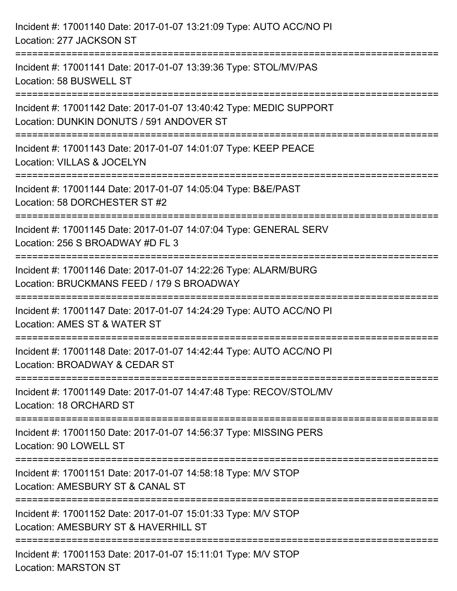| Incident #: 17001140 Date: 2017-01-07 13:21:09 Type: AUTO ACC/NO PI<br>Location: 277 JACKSON ST                                           |
|-------------------------------------------------------------------------------------------------------------------------------------------|
| Incident #: 17001141 Date: 2017-01-07 13:39:36 Type: STOL/MV/PAS<br>Location: 58 BUSWELL ST<br>--------------------                       |
| Incident #: 17001142 Date: 2017-01-07 13:40:42 Type: MEDIC SUPPORT<br>Location: DUNKIN DONUTS / 591 ANDOVER ST                            |
| Incident #: 17001143 Date: 2017-01-07 14:01:07 Type: KEEP PEACE<br>Location: VILLAS & JOCELYN                                             |
| Incident #: 17001144 Date: 2017-01-07 14:05:04 Type: B&E/PAST<br>Location: 58 DORCHESTER ST #2                                            |
| Incident #: 17001145 Date: 2017-01-07 14:07:04 Type: GENERAL SERV<br>Location: 256 S BROADWAY #D FL 3                                     |
| =========================<br>Incident #: 17001146 Date: 2017-01-07 14:22:26 Type: ALARM/BURG<br>Location: BRUCKMANS FEED / 179 S BROADWAY |
| Incident #: 17001147 Date: 2017-01-07 14:24:29 Type: AUTO ACC/NO PI<br>Location: AMES ST & WATER ST                                       |
| Incident #: 17001148 Date: 2017-01-07 14:42:44 Type: AUTO ACC/NO PI<br>Location: BROADWAY & CEDAR ST                                      |
| Incident #: 17001149 Date: 2017-01-07 14:47:48 Type: RECOV/STOL/MV<br>Location: 18 ORCHARD ST                                             |
| Incident #: 17001150 Date: 2017-01-07 14:56:37 Type: MISSING PERS<br>Location: 90 LOWELL ST                                               |
| Incident #: 17001151 Date: 2017-01-07 14:58:18 Type: M/V STOP<br>Location: AMESBURY ST & CANAL ST                                         |
| Incident #: 17001152 Date: 2017-01-07 15:01:33 Type: M/V STOP<br>Location: AMESBURY ST & HAVERHILL ST                                     |
| Incident #: 17001153 Date: 2017-01-07 15:11:01 Type: M/V STOP<br><b>Location: MARSTON ST</b>                                              |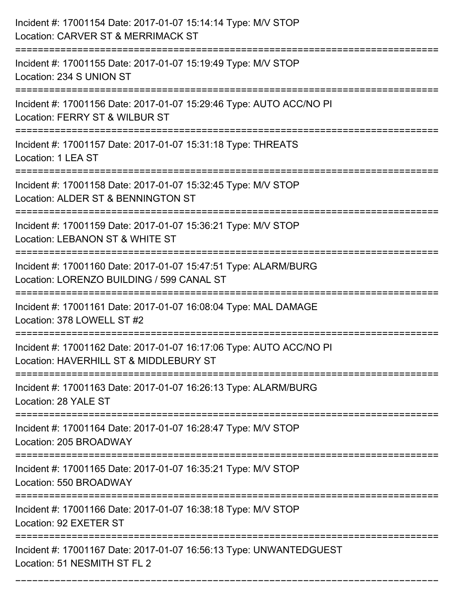| Incident #: 17001154 Date: 2017-01-07 15:14:14 Type: M/V STOP<br>Location: CARVER ST & MERRIMACK ST                                        |
|--------------------------------------------------------------------------------------------------------------------------------------------|
| Incident #: 17001155 Date: 2017-01-07 15:19:49 Type: M/V STOP<br>Location: 234 S UNION ST                                                  |
| Incident #: 17001156 Date: 2017-01-07 15:29:46 Type: AUTO ACC/NO PI<br>Location: FERRY ST & WILBUR ST                                      |
| Incident #: 17001157 Date: 2017-01-07 15:31:18 Type: THREATS<br>Location: 1 LEA ST                                                         |
| Incident #: 17001158 Date: 2017-01-07 15:32:45 Type: M/V STOP<br>Location: ALDER ST & BENNINGTON ST<br>=================<br>============   |
| Incident #: 17001159 Date: 2017-01-07 15:36:21 Type: M/V STOP<br>Location: LEBANON ST & WHITE ST<br>:2222222222222222222<br>-------------- |
| Incident #: 17001160 Date: 2017-01-07 15:47:51 Type: ALARM/BURG<br>Location: LORENZO BUILDING / 599 CANAL ST                               |
| Incident #: 17001161 Date: 2017-01-07 16:08:04 Type: MAL DAMAGE<br>Location: 378 LOWELL ST #2                                              |
| Incident #: 17001162 Date: 2017-01-07 16:17:06 Type: AUTO ACC/NO PI<br>Location: HAVERHILL ST & MIDDLEBURY ST                              |
| Incident #: 17001163 Date: 2017-01-07 16:26:13 Type: ALARM/BURG<br>Location: 28 YALE ST                                                    |
| Incident #: 17001164 Date: 2017-01-07 16:28:47 Type: M/V STOP<br>Location: 205 BROADWAY                                                    |
| Incident #: 17001165 Date: 2017-01-07 16:35:21 Type: M/V STOP<br>Location: 550 BROADWAY                                                    |
| Incident #: 17001166 Date: 2017-01-07 16:38:18 Type: M/V STOP<br>Location: 92 EXETER ST                                                    |
| Incident #: 17001167 Date: 2017-01-07 16:56:13 Type: UNWANTEDGUEST<br>Location: 51 NESMITH ST FL 2                                         |

===========================================================================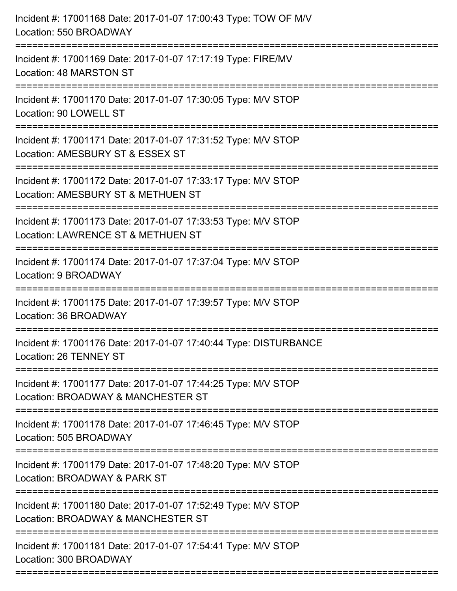| Incident #: 17001168 Date: 2017-01-07 17:00:43 Type: TOW OF M/V<br>Location: 550 BROADWAY                                            |
|--------------------------------------------------------------------------------------------------------------------------------------|
| Incident #: 17001169 Date: 2017-01-07 17:17:19 Type: FIRE/MV<br>Location: 48 MARSTON ST                                              |
| Incident #: 17001170 Date: 2017-01-07 17:30:05 Type: M/V STOP<br>Location: 90 LOWELL ST                                              |
| Incident #: 17001171 Date: 2017-01-07 17:31:52 Type: M/V STOP<br>Location: AMESBURY ST & ESSEX ST                                    |
| Incident #: 17001172 Date: 2017-01-07 17:33:17 Type: M/V STOP<br>Location: AMESBURY ST & METHUEN ST<br>:============================ |
| Incident #: 17001173 Date: 2017-01-07 17:33:53 Type: M/V STOP<br>Location: LAWRENCE ST & METHUEN ST                                  |
| Incident #: 17001174 Date: 2017-01-07 17:37:04 Type: M/V STOP<br>Location: 9 BROADWAY                                                |
| Incident #: 17001175 Date: 2017-01-07 17:39:57 Type: M/V STOP<br>Location: 36 BROADWAY                                               |
| Incident #: 17001176 Date: 2017-01-07 17:40:44 Type: DISTURBANCE<br>Location: 26 TENNEY ST                                           |
| Incident #: 17001177 Date: 2017-01-07 17:44:25 Type: M/V STOP<br>Location: BROADWAY & MANCHESTER ST                                  |
| Incident #: 17001178 Date: 2017-01-07 17:46:45 Type: M/V STOP<br>Location: 505 BROADWAY                                              |
| Incident #: 17001179 Date: 2017-01-07 17:48:20 Type: M/V STOP<br>Location: BROADWAY & PARK ST                                        |
| Incident #: 17001180 Date: 2017-01-07 17:52:49 Type: M/V STOP<br>Location: BROADWAY & MANCHESTER ST                                  |
| Incident #: 17001181 Date: 2017-01-07 17:54:41 Type: M/V STOP<br>Location: 300 BROADWAY                                              |
|                                                                                                                                      |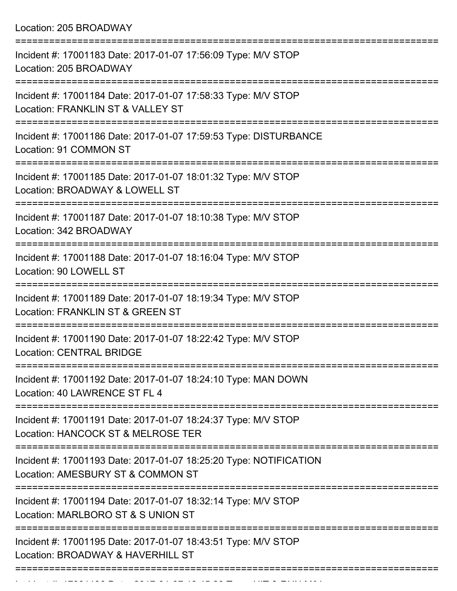Location: 205 BROADWAY

| Incident #: 17001183 Date: 2017-01-07 17:56:09 Type: M/V STOP<br>Location: 205 BROADWAY                                |
|------------------------------------------------------------------------------------------------------------------------|
| Incident #: 17001184 Date: 2017-01-07 17:58:33 Type: M/V STOP<br>Location: FRANKLIN ST & VALLEY ST                     |
| Incident #: 17001186 Date: 2017-01-07 17:59:53 Type: DISTURBANCE<br>Location: 91 COMMON ST                             |
| Incident #: 17001185 Date: 2017-01-07 18:01:32 Type: M/V STOP<br>Location: BROADWAY & LOWELL ST                        |
| Incident #: 17001187 Date: 2017-01-07 18:10:38 Type: M/V STOP<br>Location: 342 BROADWAY                                |
| Incident #: 17001188 Date: 2017-01-07 18:16:04 Type: M/V STOP<br>Location: 90 LOWELL ST                                |
| =================<br>Incident #: 17001189 Date: 2017-01-07 18:19:34 Type: M/V STOP<br>Location: FRANKLIN ST & GREEN ST |
| Incident #: 17001190 Date: 2017-01-07 18:22:42 Type: M/V STOP<br><b>Location: CENTRAL BRIDGE</b>                       |
| Incident #: 17001192 Date: 2017-01-07 18:24:10 Type: MAN DOWN<br>Location: 40 LAWRENCE ST FL 4                         |
| Incident #: 17001191 Date: 2017-01-07 18:24:37 Type: M/V STOP<br>Location: HANCOCK ST & MELROSE TER                    |
| Incident #: 17001193 Date: 2017-01-07 18:25:20 Type: NOTIFICATION<br>Location: AMESBURY ST & COMMON ST                 |
| Incident #: 17001194 Date: 2017-01-07 18:32:14 Type: M/V STOP<br>Location: MARLBORO ST & S UNION ST                    |
| Incident #: 17001195 Date: 2017-01-07 18:43:51 Type: M/V STOP<br>Location: BROADWAY & HAVERHILL ST                     |
|                                                                                                                        |

Incident #: 17001196 Date: 2017 01 07 18:45:20 Type: HIT & RUN M/V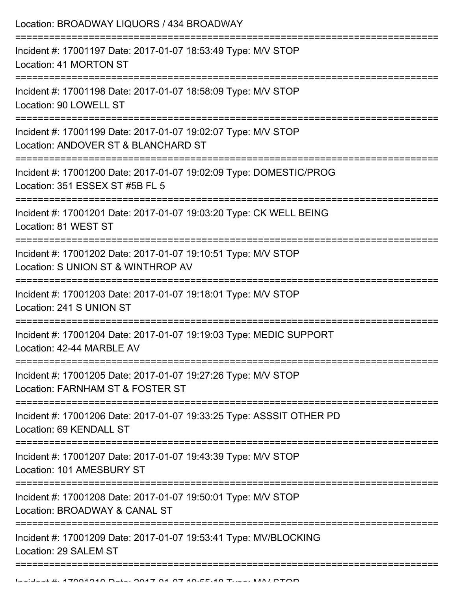| Location: BROADWAY LIQUORS / 434 BROADWAY                                                             |
|-------------------------------------------------------------------------------------------------------|
| Incident #: 17001197 Date: 2017-01-07 18:53:49 Type: M/V STOP<br>Location: 41 MORTON ST               |
| Incident #: 17001198 Date: 2017-01-07 18:58:09 Type: M/V STOP<br>Location: 90 LOWELL ST               |
| Incident #: 17001199 Date: 2017-01-07 19:02:07 Type: M/V STOP<br>Location: ANDOVER ST & BLANCHARD ST  |
| Incident #: 17001200 Date: 2017-01-07 19:02:09 Type: DOMESTIC/PROG<br>Location: 351 ESSEX ST #5B FL 5 |
| Incident #: 17001201 Date: 2017-01-07 19:03:20 Type: CK WELL BEING<br>Location: 81 WEST ST            |
| Incident #: 17001202 Date: 2017-01-07 19:10:51 Type: M/V STOP<br>Location: S UNION ST & WINTHROP AV   |
| Incident #: 17001203 Date: 2017-01-07 19:18:01 Type: M/V STOP<br>Location: 241 S UNION ST             |
| Incident #: 17001204 Date: 2017-01-07 19:19:03 Type: MEDIC SUPPORT<br>Location: 42-44 MARBLE AV       |
| Incident #: 17001205 Date: 2017-01-07 19:27:26 Type: M/V STOP<br>Location: FARNHAM ST & FOSTER ST     |
| Incident #: 17001206 Date: 2017-01-07 19:33:25 Type: ASSSIT OTHER PD<br>Location: 69 KENDALL ST       |
| Incident #: 17001207 Date: 2017-01-07 19:43:39 Type: M/V STOP<br>Location: 101 AMESBURY ST            |
| Incident #: 17001208 Date: 2017-01-07 19:50:01 Type: M/V STOP<br>Location: BROADWAY & CANAL ST        |
| Incident #: 17001209 Date: 2017-01-07 19:53:41 Type: MV/BLOCKING<br>Location: 29 SALEM ST             |
|                                                                                                       |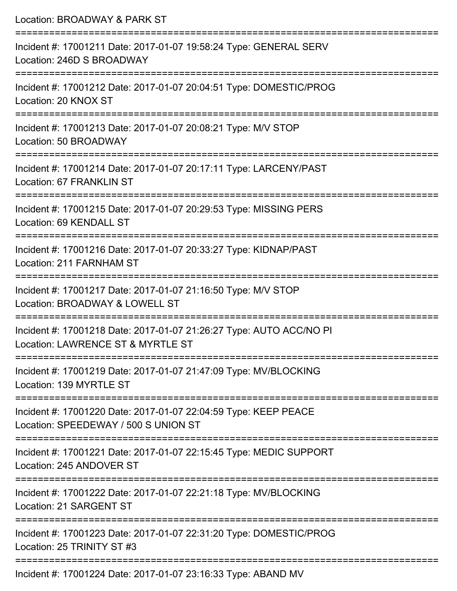| Location: BROADWAY & PARK ST                                                                                                   |
|--------------------------------------------------------------------------------------------------------------------------------|
| Incident #: 17001211 Date: 2017-01-07 19:58:24 Type: GENERAL SERV<br>Location: 246D S BROADWAY<br>=======================      |
| Incident #: 17001212 Date: 2017-01-07 20:04:51 Type: DOMESTIC/PROG<br>Location: 20 KNOX ST                                     |
| Incident #: 17001213 Date: 2017-01-07 20:08:21 Type: M/V STOP<br>Location: 50 BROADWAY                                         |
| :============================<br>Incident #: 17001214 Date: 2017-01-07 20:17:11 Type: LARCENY/PAST<br>Location: 67 FRANKLIN ST |
| Incident #: 17001215 Date: 2017-01-07 20:29:53 Type: MISSING PERS<br>Location: 69 KENDALL ST                                   |
| Incident #: 17001216 Date: 2017-01-07 20:33:27 Type: KIDNAP/PAST<br>Location: 211 FARNHAM ST                                   |
| Incident #: 17001217 Date: 2017-01-07 21:16:50 Type: M/V STOP<br>Location: BROADWAY & LOWELL ST                                |
| Incident #: 17001218 Date: 2017-01-07 21:26:27 Type: AUTO ACC/NO PI<br>Location: LAWRENCE ST & MYRTLE ST                       |
| Incident #: 17001219 Date: 2017-01-07 21:47:09 Type: MV/BLOCKING<br>Location: 139 MYRTLE ST                                    |
| =================<br>Incident #: 17001220 Date: 2017-01-07 22:04:59 Type: KEEP PEACE<br>Location: SPEEDEWAY / 500 S UNION ST   |
| Incident #: 17001221 Date: 2017-01-07 22:15:45 Type: MEDIC SUPPORT<br>Location: 245 ANDOVER ST                                 |
| Incident #: 17001222 Date: 2017-01-07 22:21:18 Type: MV/BLOCKING<br>Location: 21 SARGENT ST                                    |
| Incident #: 17001223 Date: 2017-01-07 22:31:20 Type: DOMESTIC/PROG<br>Location: 25 TRINITY ST #3                               |
| Incident #: 17001224 Date: 2017-01-07 23:16:33 Type: ABAND MV                                                                  |